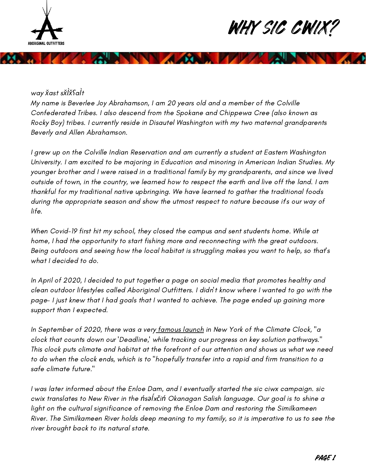

## WHY SIC CWIX!

## way *x̌*ast s*x̌l̀x̌l̀x̌ʕ*a*l̀*t

My name is Beverlee Joy Abrahamson, I am 20 years old and a member of the Colville Confederated Tribes. I also descend from the Spokane and Chippewa Cree (also known as Rocky Boy) tribes. I currently reside in Disautel Washington with my two maternal grandparents Beverly and Allen Abrahamson.

I grew up on the Colville Indian Reservation and am currently a student at Eastern Washington University. I am excited to be majoring in Education and minoring in American Indian Studies. My younger brother and I were raised in a traditional family by my grandparents, and since we lived outside of town, in the country, we learned how to respect the earth and live off the land. I am thankful for my traditional native upbringing. We have learned to gather the traditional foods during the appropriate season and show the utmost respect to nature because it's our way of life.

When Covid-19 first hit my school, they closed the campus and sent students home. While at home, I had the opportunity to start fishing more and reconnecting with the great outdoors. Being outdoors and seeing how the local habitat is struggling makes you want to help, so that's what I decided to do.

In April of 2020, I decided to put together a page on social media that promotes healthy and clean outdoor lifestyles called Aboriginal Outfitters. I didn't know where I wanted to go with the page- I just knew that I had goals that I wanted to achieve. The page ended up gaining more support than I expected.

In September of 2020, there was a very famous launch in New York of the Climate Clock, "a clock that counts down our 'Deadline,' while tracking our progress on key solution pathways." This clock puts climate and habitat at the forefront of our attention and shows us what we need to do when the clock ends, which is to "hopefully transfer into a rapid and firm transition to a safe climate future."

I was later informed about the Enloe Dam, and I eventually started the sic ciwx campaign. sic cwix translates to New River in the *ń*s*əĺ*x*č*i*ń* Okanagan Salish language. Our goal is to shine a light on the cultural significance of removing the Enloe Dam and restoring the Similkameen River. The Similkameen River holds deep meaning to my family, so it is imperative to us to see the river brought back to its natural state.